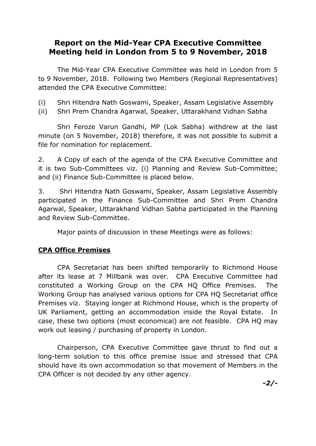# **Report on the Mid-Year CPA Executive Committee Meeting held in London from 5 to 9 November, 2018**

The Mid-Year CPA Executive Committee was held in London from 5 to 9 November, 2018. Following two Members (Regional Representatives) attended the CPA Executive Committee:

(i) Shri Hitendra Nath Goswami, Speaker, Assam Legislative Assembly

(ii) Shri Prem Chandra Agarwal, Speaker, Uttarakhand Vidhan Sabha

Shri Feroze Varun Gandhi, MP (Lok Sabha) withdrew at the last minute (on 5 November, 2018) therefore, it was not possible to submit a file for nomination for replacement.

2. A Copy of each of the agenda of the CPA Executive Committee and it is two Sub-Committees viz. (i) Planning and Review Sub-Committee; and (ii) Finance Sub-Committee is placed below.

3. Shri Hitendra Nath Goswami, Speaker, Assam Legislative Assembly participated in the Finance Sub-Committee and Shri Prem Chandra Agarwal, Speaker, Uttarakhand Vidhan Sabha participated in the Planning and Review Sub-Committee.

Major points of discussion in these Meetings were as follows:

# **CPA Office Premises**

CPA Secretariat has been shifted temporarily to Richmond House after its lease at 7 Millbank was over. CPA Executive Committee had constituted a Working Group on the CPA HQ Office Premises. The Working Group has analysed various options for CPA HQ Secretariat office Premises viz. Staying longer at Richmond House, which is the property of UK Parliament, getting an accommodation inside the Royal Estate. In case, these two options (most economical) are not feasible. CPA HQ may work out leasing / purchasing of property in London.

Chairperson, CPA Executive Committee gave thrust to find out a long-term solution to this office premise issue and stressed that CPA should have its own accommodation so that movement of Members in the CPA Officer is not decided by any other agency.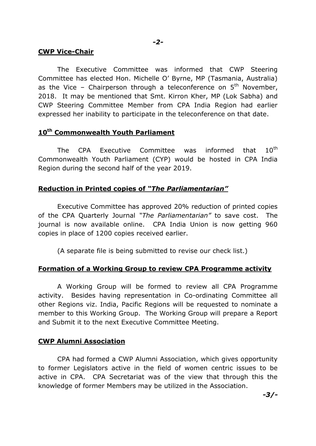### **CWP Vice-Chair**

The Executive Committee was informed that CWP Steering Committee has elected Hon. Michelle O' Byrne, MP (Tasmania, Australia) as the Vice – Chairperson through a teleconference on  $5<sup>th</sup>$  November, 2018. It may be mentioned that Smt. Kirron Kher, MP (Lok Sabha) and CWP Steering Committee Member from CPA India Region had earlier expressed her inability to participate in the teleconference on that date.

## **10th Commonwealth Youth Parliament**

The CPA Executive Committee was informed that 10<sup>th</sup> Commonwealth Youth Parliament (CYP) would be hosted in CPA India Region during the second half of the year 2019.

# **Reduction in Printed copies of** *"The Parliamentarian"*

Executive Committee has approved 20% reduction of printed copies of the CPA Quarterly Journal *"The Parliamentarian"* to save cost. The journal is now available online. CPA India Union is now getting 960 copies in place of 1200 copies received earlier.

(A separate file is being submitted to revise our check list.)

## **Formation of a Working Group to review CPA Programme activity**

A Working Group will be formed to review all CPA Programme activity. Besides having representation in Co-ordinating Committee all other Regions viz. India, Pacific Regions will be requested to nominate a member to this Working Group. The Working Group will prepare a Report and Submit it to the next Executive Committee Meeting.

## **CWP Alumni Association**

CPA had formed a CWP Alumni Association, which gives opportunity to former Legislators active in the field of women centric issues to be active in CPA. CPA Secretariat was of the view that through this the knowledge of former Members may be utilized in the Association.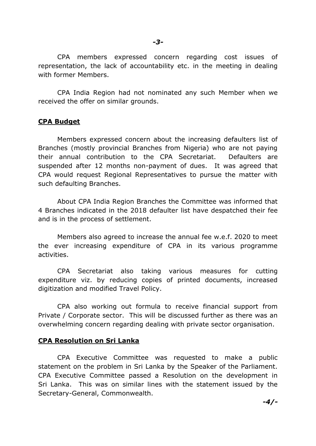CPA members expressed concern regarding cost issues of representation, the lack of accountability etc. in the meeting in dealing with former Members.

CPA India Region had not nominated any such Member when we received the offer on similar grounds.

### **CPA Budget**

Members expressed concern about the increasing defaulters list of Branches (mostly provincial Branches from Nigeria) who are not paying their annual contribution to the CPA Secretariat. Defaulters are suspended after 12 months non-payment of dues. It was agreed that CPA would request Regional Representatives to pursue the matter with such defaulting Branches.

About CPA India Region Branches the Committee was informed that 4 Branches indicated in the 2018 defaulter list have despatched their fee and is in the process of settlement.

Members also agreed to increase the annual fee w.e.f. 2020 to meet the ever increasing expenditure of CPA in its various programme activities.

CPA Secretariat also taking various measures for cutting expenditure viz. by reducing copies of printed documents, increased digitization and modified Travel Policy.

CPA also working out formula to receive financial support from Private / Corporate sector. This will be discussed further as there was an overwhelming concern regarding dealing with private sector organisation.

#### **CPA Resolution on Sri Lanka**

CPA Executive Committee was requested to make a public statement on the problem in Sri Lanka by the Speaker of the Parliament. CPA Executive Committee passed a Resolution on the development in Sri Lanka. This was on similar lines with the statement issued by the Secretary-General, Commonwealth.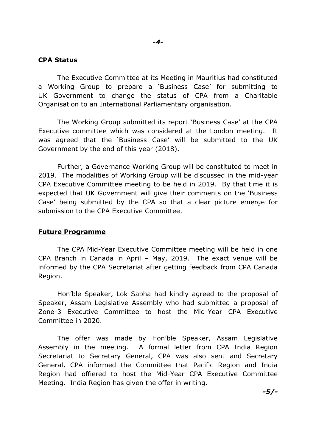#### **CPA Status**

The Executive Committee at its Meeting in Mauritius had constituted a Working Group to prepare a 'Business Case' for submitting to UK Government to change the status of CPA from a Charitable Organisation to an International Parliamentary organisation.

The Working Group submitted its report 'Business Case' at the CPA Executive committee which was considered at the London meeting. It was agreed that the 'Business Case' will be submitted to the UK Government by the end of this year (2018).

Further, a Governance Working Group will be constituted to meet in 2019. The modalities of Working Group will be discussed in the mid-year CPA Executive Committee meeting to be held in 2019. By that time it is expected that UK Government will give their comments on the 'Business Case' being submitted by the CPA so that a clear picture emerge for submission to the CPA Executive Committee.

#### **Future Programme**

The CPA Mid-Year Executive Committee meeting will be held in one CPA Branch in Canada in April – May, 2019. The exact venue will be informed by the CPA Secretariat after getting feedback from CPA Canada Region.

Hon'ble Speaker, Lok Sabha had kindly agreed to the proposal of Speaker, Assam Legislative Assembly who had submitted a proposal of Zone-3 Executive Committee to host the Mid-Year CPA Executive Committee in 2020.

The offer was made by Hon'ble Speaker, Assam Legislative Assembly in the meeting. A formal letter from CPA India Region Secretariat to Secretary General, CPA was also sent and Secretary General, CPA informed the Committee that Pacific Region and India Region had offiered to host the Mid-Year CPA Executive Committee Meeting. India Region has given the offer in writing.